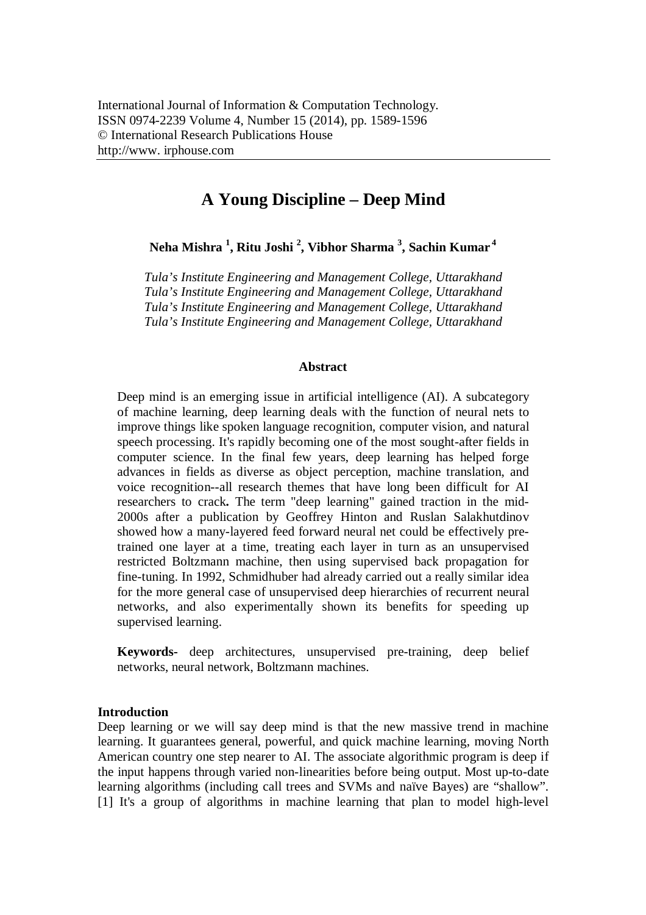# **A Young Discipline – Deep Mind**

**Neha Mishra <sup>1</sup> , Ritu Joshi <sup>2</sup> , Vibhor Sharma <sup>3</sup> , Sachin Kumar <sup>4</sup>**

*Tula's Institute Engineering and Management College, Uttarakhand Tula's Institute Engineering and Management College, Uttarakhand Tula's Institute Engineering and Management College, Uttarakhand Tula's Institute Engineering and Management College, Uttarakhand*

### **Abstract**

Deep mind is an emerging issue in artificial intelligence (AI). A subcategory of machine learning, deep learning deals with the function of neural nets to improve things like spoken language recognition, computer vision, and natural speech processing. It's rapidly becoming one of the most sought-after fields in computer science. In the final few years, deep learning has helped forge advances in fields as diverse as object perception, machine translation, and voice recognition--all research themes that have long been difficult for AI researchers to crack**.** The term "deep learning" gained traction in the mid-2000s after a publication by Geoffrey Hinton and Ruslan Salakhutdinov showed how a many-layered feed forward neural net could be effectively pretrained one layer at a time, treating each layer in turn as an unsupervised restricted Boltzmann machine, then using supervised back propagation for fine-tuning. In 1992, Schmidhuber had already carried out a really similar idea for the more general case of unsupervised deep hierarchies of recurrent neural networks, and also experimentally shown its benefits for speeding up supervised learning.

**Keywords-** deep architectures, unsupervised pre-training, deep belief networks, neural network, Boltzmann machines.

## **Introduction**

Deep learning or we will say deep mind is that the new massive trend in machine learning. It guarantees general, powerful, and quick machine learning, moving North American country one step nearer to AI. The associate algorithmic program is deep if the input happens through varied non-linearities before being output. Most up-to-date learning algorithms (including call trees and SVMs and naïve Bayes) are "shallow". [1] It's a group of algorithms in machine learning that plan to model high-level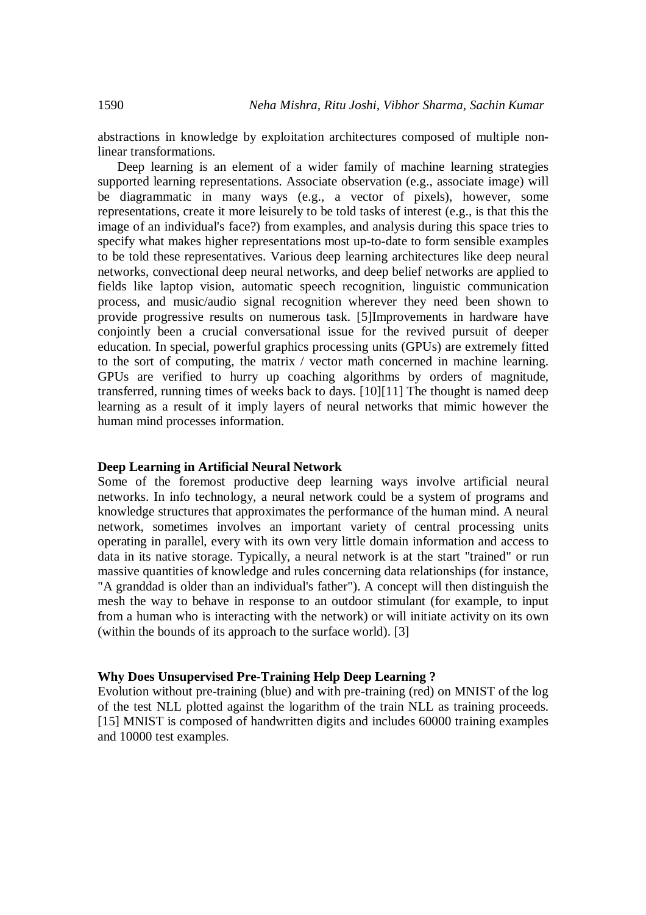abstractions in knowledge by exploitation architectures composed of multiple nonlinear transformations.

Deep learning is an element of a wider family of machine learning strategies supported learning representations. Associate observation (e.g., associate image) will be diagrammatic in many ways (e.g., a vector of pixels), however, some representations, create it more leisurely to be told tasks of interest (e.g., is that this the image of an individual's face?) from examples, and analysis during this space tries to specify what makes higher representations most up-to-date to form sensible examples to be told these representatives. Various deep learning architectures like deep neural networks, convectional deep neural networks, and deep belief networks are applied to fields like laptop vision, automatic speech recognition, linguistic communication process, and music/audio signal recognition wherever they need been shown to provide progressive results on numerous task. [5]Improvements in hardware have conjointly been a crucial conversational issue for the revived pursuit of deeper education. In special, powerful graphics processing units (GPUs) are extremely fitted to the sort of computing, the matrix / vector math concerned in machine learning. GPUs are verified to hurry up coaching algorithms by orders of magnitude, transferred, running times of weeks back to days. [10][11] The thought is named deep learning as a result of it imply layers of neural networks that mimic however the human mind processes information.

#### **Deep Learning in Artificial Neural Network**

Some of the foremost productive deep learning ways involve artificial neural networks. In info technology, a neural network could be a system of programs and knowledge structures that approximates the performance of the human mind. A neural network, sometimes involves an important variety of central processing units operating in parallel, every with its own very little domain information and access to data in its native storage. Typically, a neural network is at the start "trained" or run massive quantities of knowledge and rules concerning data relationships (for instance, "A granddad is older than an individual's father"). A concept will then distinguish the mesh the way to behave in response to an outdoor stimulant (for example, to input from a human who is interacting with the network) or will initiate activity on its own (within the bounds of its approach to the surface world). [3]

#### **Why Does Unsupervised Pre-Training Help Deep Learning ?**

Evolution without pre-training (blue) and with pre-training (red) on MNIST of the log of the test NLL plotted against the logarithm of the train NLL as training proceeds. [15] MNIST is composed of handwritten digits and includes 60000 training examples and 10000 test examples.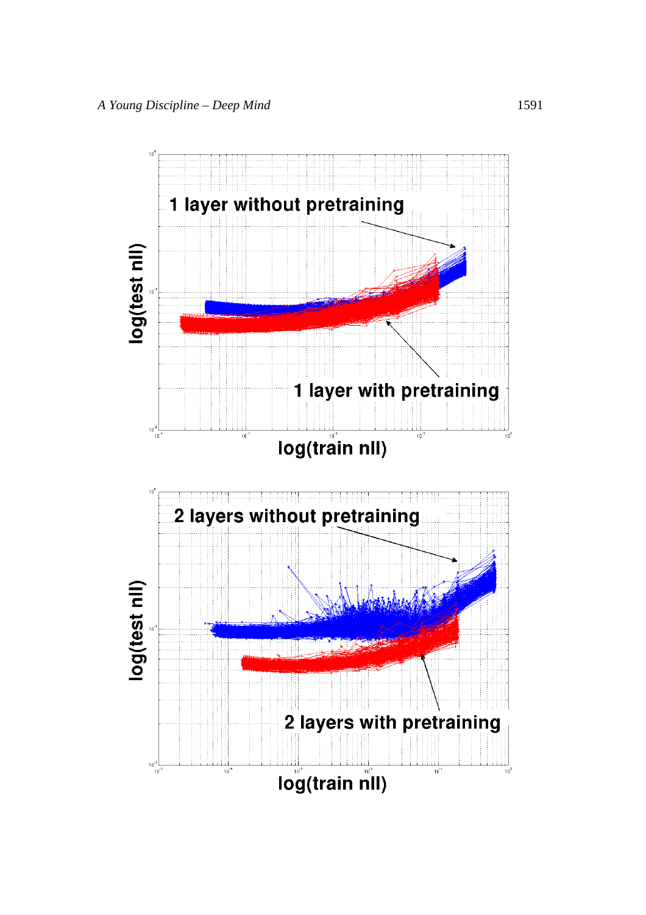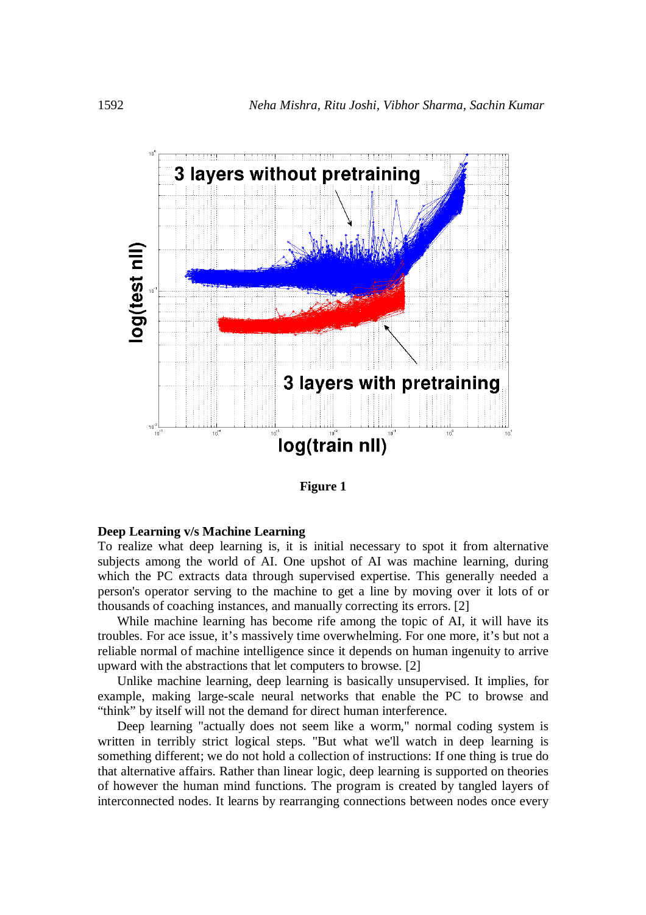

**Figure 1**

#### **Deep Learning v/s Machine Learning**

To realize what deep learning is, it is initial necessary to spot it from alternative subjects among the world of AI. One upshot of AI was machine learning, during which the PC extracts data through supervised expertise. This generally needed a person's operator serving to the machine to get a line by moving over it lots of or thousands of coaching instances, and manually correcting its errors. [2]

While machine learning has become rife among the topic of AI, it will have its troubles. For ace issue, it's massively time overwhelming. For one more, it's but not a reliable normal of machine intelligence since it depends on human ingenuity to arrive upward with the abstractions that let computers to browse. [2]

Unlike machine learning, deep learning is basically unsupervised. It implies, for example, making large-scale neural networks that enable the PC to browse and "think" by itself will not the demand for direct human interference.

Deep learning "actually does not seem like a worm," normal coding system is written in terribly strict logical steps. "But what we'll watch in deep learning is something different; we do not hold a collection of instructions: If one thing is true do that alternative affairs. Rather than linear logic, deep learning is supported on theories of however the human mind functions. The program is created by tangled layers of interconnected nodes. It learns by rearranging connections between nodes once every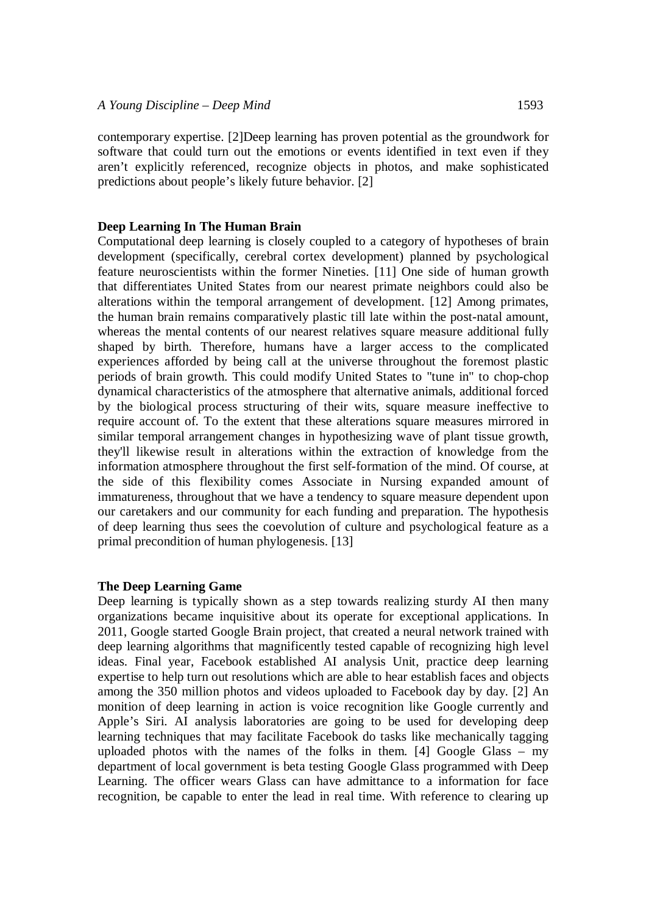contemporary expertise. [2]Deep learning has proven potential as the groundwork for software that could turn out the emotions or events identified in text even if they aren't explicitly referenced, recognize objects in photos, and make sophisticated predictions about people's likely future behavior. [2]

## **Deep Learning In The Human Brain**

Computational deep learning is closely coupled to a category of hypotheses of brain development (specifically, cerebral cortex development) planned by psychological feature neuroscientists within the former Nineties. [11] One side of human growth that differentiates United States from our nearest primate neighbors could also be alterations within the temporal arrangement of development. [12] Among primates, the human brain remains comparatively plastic till late within the post-natal amount, whereas the mental contents of our nearest relatives square measure additional fully shaped by birth. Therefore, humans have a larger access to the complicated experiences afforded by being call at the universe throughout the foremost plastic periods of brain growth. This could modify United States to "tune in" to chop-chop dynamical characteristics of the atmosphere that alternative animals, additional forced by the biological process structuring of their wits, square measure ineffective to require account of. To the extent that these alterations square measures mirrored in similar temporal arrangement changes in hypothesizing wave of plant tissue growth, they'll likewise result in alterations within the extraction of knowledge from the information atmosphere throughout the first self-formation of the mind. Of course, at the side of this flexibility comes Associate in Nursing expanded amount of immatureness, throughout that we have a tendency to square measure dependent upon our caretakers and our community for each funding and preparation. The hypothesis of deep learning thus sees the coevolution of culture and psychological feature as a primal precondition of human phylogenesis. [13]

## **The Deep Learning Game**

Deep learning is typically shown as a step towards realizing sturdy AI then many organizations became inquisitive about its operate for exceptional applications. In 2011, Google started Google Brain project, that created a neural network trained with deep learning algorithms that magnificently tested capable of recognizing high level ideas. Final year, Facebook established AI analysis Unit, practice deep learning expertise to help turn out resolutions which are able to hear establish faces and objects among the 350 million photos and videos uploaded to Facebook day by day. [2] An monition of deep learning in action is voice recognition like Google currently and Apple's Siri. AI analysis laboratories are going to be used for developing deep learning techniques that may facilitate Facebook do tasks like mechanically tagging uploaded photos with the names of the folks in them. [4] Google Glass – my department of local government is beta testing Google Glass programmed with Deep Learning. The officer wears Glass can have admittance to a information for face recognition, be capable to enter the lead in real time. With reference to clearing up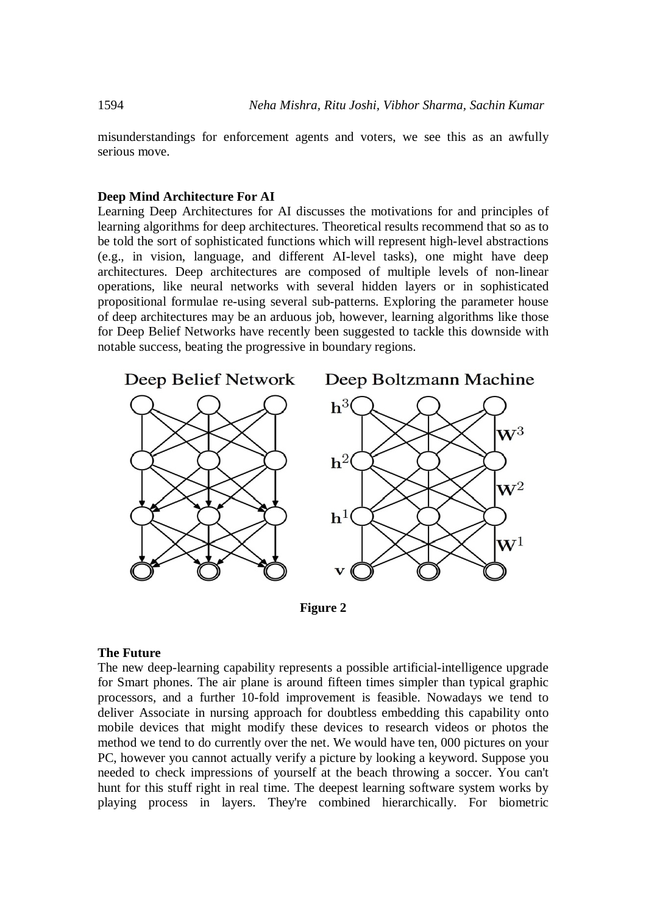misunderstandings for enforcement agents and voters, we see this as an awfully serious move.

## **Deep Mind Architecture For AI**

Learning Deep Architectures for AI discusses the motivations for and principles of learning algorithms for deep architectures. Theoretical results recommend that so as to be told the sort of sophisticated functions which will represent high-level abstractions (e.g., in vision, language, and different AI-level tasks), one might have deep architectures. Deep architectures are composed of multiple levels of non-linear operations, like neural networks with several hidden layers or in sophisticated propositional formulae re-using several sub-patterns. Exploring the parameter house of deep architectures may be an arduous job, however, learning algorithms like those for Deep Belief Networks have recently been suggested to tackle this downside with notable success, beating the progressive in boundary regions.



**Figure 2**

## **The Future**

The new deep-learning capability represents a possible artificial-intelligence upgrade for Smart phones. The air plane is around fifteen times simpler than typical graphic processors, and a further 10-fold improvement is feasible. Nowadays we tend to deliver Associate in nursing approach for doubtless embedding this capability onto mobile devices that might modify these devices to research videos or photos the method we tend to do currently over the net. We would have ten, 000 pictures on your PC, however you cannot actually verify a picture by looking a keyword. Suppose you needed to check impressions of yourself at the beach throwing a soccer. You can't hunt for this stuff right in real time. The deepest learning software system works by playing process in layers. They're combined hierarchically. For biometric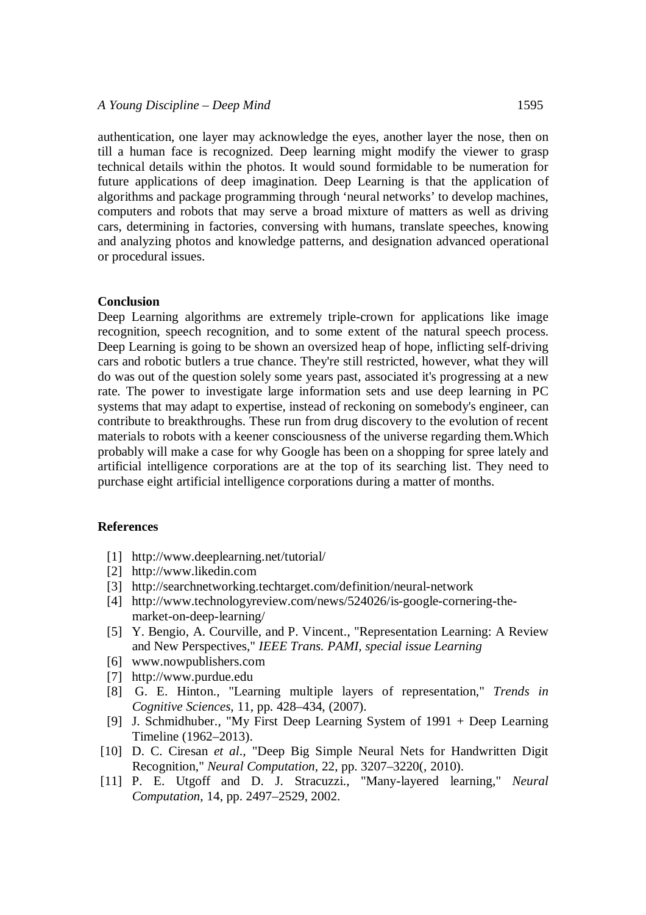authentication, one layer may acknowledge the eyes, another layer the nose, then on till a human face is recognized. Deep learning might modify the viewer to grasp technical details within the photos. It would sound formidable to be numeration for future applications of deep imagination. Deep Learning is that the application of algorithms and package programming through 'neural networks' to develop machines, computers and robots that may serve a broad mixture of matters as well as driving cars, determining in factories, conversing with humans, translate speeches, knowing and analyzing photos and knowledge patterns, and designation advanced operational or procedural issues.

#### **Conclusion**

Deep Learning algorithms are extremely triple-crown for applications like image recognition, speech recognition, and to some extent of the natural speech process. Deep Learning is going to be shown an oversized heap of hope, inflicting self-driving cars and robotic butlers a true chance. They're still restricted, however, what they will do was out of the question solely some years past, associated it's progressing at a new rate. The power to investigate large information sets and use deep learning in PC systems that may adapt to expertise, instead of reckoning on somebody's engineer, can contribute to breakthroughs. These run from drug discovery to the evolution of recent materials to robots with a keener consciousness of the universe regarding them.Which probably will make a case for why Google has been on a shopping for spree lately and artificial intelligence corporations are at the top of its searching list. They need to purchase eight artificial intelligence corporations during a matter of months.

#### **References**

- [1] http://www.deeplearning.net/tutorial/
- [2] http://www.likedin.com
- [3] http://searchnetworking.techtarget.com/definition/neural-network
- [4] http://www.technologyreview.com/news/524026/is-google-cornering-themarket-on-deep-learning/
- [5] Y. Bengio, A. Courville, and P. Vincent., "Representation Learning: A Review and New Perspectives," *IEEE Trans. PAMI, special issue Learning*
- [6] www.nowpublishers.com
- [7] http://www.purdue.edu
- [8] G. E. Hinton., "Learning multiple layers of representation," *Trends in Cognitive Sciences*, 11, pp. 428–434, (2007).
- [9] J. Schmidhuber., "My First Deep Learning System of 1991 + Deep Learning Timeline (1962–2013).
- [10] D. C. Ciresan *et al*., "Deep Big Simple Neural Nets for Handwritten Digit Recognition," *Neural Computation*, 22, pp. 3207–3220(, 2010).
- [11] P. E. Utgoff and D. J. Stracuzzi., "Many-layered learning," *Neural Computation*, 14, pp. 2497–2529, 2002.